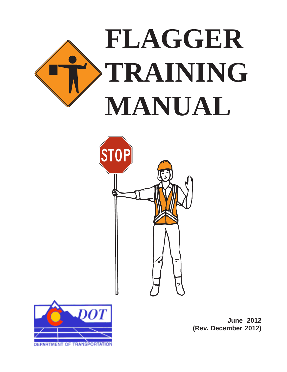





**June 2012 (Rev. December 2012)**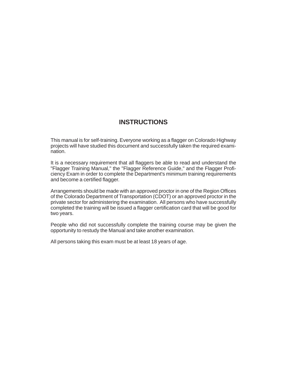### **INSTRUCTIONS**

This manual is for self-training. Everyone working as a flagger on Colorado Highway projects will have studied this document and successfully taken the required examination.

It is a necessary requirement that all flaggers be able to read and understand the "Flagger Training Manual," the "Flagger Reference Guide," and the Flagger Proficiency Exam in order to complete the Department's minimum training requirements and become a certified flagger.

Arrangements should be made with an approved proctor in one of the Region Offices of the Colorado Department of Transportation (CDOT) or an approved proctor in the private sector for administering the examination. All persons who have successfully completed the training will be issued a flagger certification card that will be good for two years.

People who did not successfully complete the training course may be given the opportunity to restudy the Manual and take another examination.

All persons taking this exam must be at least 18 years of age.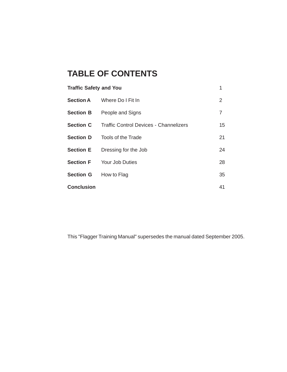# **TABLE OF CONTENTS**

| <b>Traffic Safety and You</b><br>1                      |                |  |  |  |
|---------------------------------------------------------|----------------|--|--|--|
| <b>Section A</b> Where Do I Fit In                      | $\overline{2}$ |  |  |  |
| <b>Section B</b> People and Signs                       | $\overline{7}$ |  |  |  |
| <b>Section C</b> Traffic Control Devices - Channelizers | 15             |  |  |  |
| <b>Section D</b> Tools of the Trade                     | 21             |  |  |  |
| <b>Section E</b> Dressing for the Job                   | 24             |  |  |  |
| <b>Section F</b> Your Job Duties                        |                |  |  |  |
| Section G How to Flag                                   | 35             |  |  |  |
|                                                         | 41             |  |  |  |
|                                                         |                |  |  |  |

This "Flagger Training Manual" supersedes the manual dated September 2005.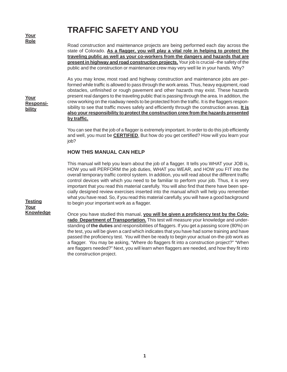**Your Role**

**Your Responsibility**

# **TRAFFIC SAFETY AND YOU**

Road construction and maintenance projects are being performed each day across the state of Colorado. **As a flagger, you will play a vital role in helping to protect the traveling public as well as your co-workers from the dangers and hazards that are present in highway and road construction projects.** Your job is crucial--the safety of the public and the construction or maintenance crew may very well lie in your hands. Why?

As you may know, most road and highway construction and maintenance jobs are performed while traffic is allowed to pass through the work areas. Thus, heavy equipment, road obstacles, unfinished or rough pavement and other hazards may exist. These hazards present real dangers to the traveling public that is passing through the area. In addition, the crew working on the roadway needs to be protected from the traffic. It is the flaggers responsibility to see that traffic moves safely and efficiently through the construction areas. **It is also your responsibility to protect the construction crew from the hazards presented by traffic.**

You can see that the job of a flagger is extremely important. In order to do this job efficiently and well, you must be **CERTIFIED**. But how do you get certified? How will you learn your job?

#### **HOW THIS MANUAL CAN HELP**

This manual will help you learn about the job of a flagger. It tells you WHAT your JOB is, HOW you will PERFORM the job duties, WHAT you WEAR, and HOW you FIT into the overall temporary traffic control system. In addition, you will read about the different traffic control devices with which you need to be familiar to perform your job. Thus, it is very important that you read this material carefully. You will also find that there have been specially designed review exercises inserted into the manual which will help you remember what you have read. So, if you read this material carefully, you will have a good background to begin your important work as a flagger.

**Testing Your Knowledge**

Once you have studied this manual, **you will be given a proficiency test by the Colorado Department of Transportation.** This test will measure your knowledge and understanding of **the duties** and responsibilities of flaggers. If you get a passing score (80%) on the test, you will be given a card which indicates that you have had some training and have passed the proficiency test. You will then be ready to begin your actual on-the-job work as a flagger. You may be asking, "Where do flaggers fit into a construction project?" "When are flaggers needed?" Next, you will learn when flaggers are needed, and how they fit into the construction project.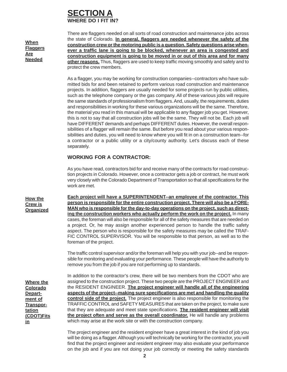### **SECTION WHERE DO I FIT IN?**

**When Flaggers Are Needed**

There are flaggers needed on all sorts of road construction and maintenance jobs across the state of Colorado. **In general, flaggers are needed whenever the safety of the construction crew or the motoring public is a question. Safety questions arise whenever a traffic lane is going to be blocked, whenever an area is congested and construction equipment is going to be moved in or out of this area and for many other reasons.** Thus, flaggers are used to keep traffic moving smoothly and safely and to protect the crew members.

As a flagger, you may be working for construction companies--contractors who have submitted bids for and been retained to perform various road construction and maintenance projects. In addition, flaggers are usually needed for some projects run by public utilities, such as the telephone company or the gas company. All of these various jobs will require the same standards of professionalism from flaggers. And, usually, the requirements, duties and responsibilities in working for these various organizations will be the same. Therefore, the material you read in this manual will be applicable to any flagger job you get. However, this is not to say that all construction jobs will be the same. They will not be. Each job will have DIFFERENT demands and perhaps DIFFERENT duties. However, the overall responsibilities of a flagger will remain the same. But before you read about your various responsibilities and duties, you will need to know where you will fit in on a construction team--for a contractor or a public utility or a city/county authority. Let's discuss each of these separately.

#### **WORKING FOR A CONTRACTOR:**

As you have read, contractors bid for and receive many of the contracts for road construction projects in Colorado. However, once a contractor gets a job or contract, he must work very closely with the Colorado Department of Transportation so that all specifications for the work are met.

**Each project will have a SUPERINTENDENT--an employee of the contractor. This person is responsible for the entire construction project. There will also be a FORE-MAN who is responsible for the day-to-day operations on the project, such as directing the construction workers who actually perform the work on the project.** In many cases, the foreman will also be responsible for all of the safety measures that are needed on a project. Or, he may assign another experienced person to handle the traffic safety aspect. The person who is responsible for the safety measures may be called the TRAF-FIC CONTROL SUPERVISOR. You will be responsible to that person, as well as to the foreman of the project.

The traffic control supervisor and/or the foreman will help you with your job--and be responsible for monitoring and evaluating your performance. These people will have the authority to remove you from the job if you are not performing up to standards.

**Where the Colorado Department of Transportation (CDOT)Fits in**

**How the Crew is Organized**

> In addition to the contractor's crew, there will be two members from the CDOT who are assigned to the construction project. These two people are the PROJECT ENGINEER and the RESIDENT ENGINEER. **The project engineer will handle all of the engineering aspects of the project--making sure specifications are met and handling the quality control side of the project.** The project engineer is also responsible for monitoring the TRAFFIC CONTROL and SAFETY MEASURES that are taken on the project, to make sure that they are adequate and meet state specifications. **The resident engineer will visit the project often and serve as the overall coordinator.** He will handle any problems which may arise at the work site or with the construction company.

> The project engineer and the resident engineer have a great interest in the kind of job you will be doing as a flagger. Although you will technically be working for the contractor, you will find that the project engineer and resident engineer may also evaluate your performance on the job and if you are not doing your job correctly or meeting the safety standards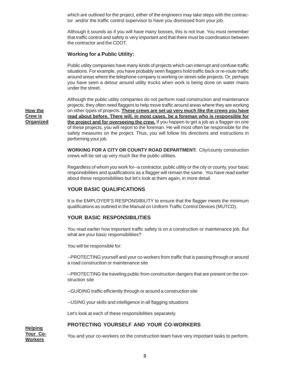which are outlined for the project, either of the engineers may take steps with the contractor and/or the traffic control supervisor to have you dismissed from your job.

Although it sounds as if you will have many bosses, this is not true. You must remember that traffic control and safety is very important and that there must be coordination between the contractor and the CDOT.

#### **Working for a Public Utility:**

Public utility companies have many kinds of projects which can interrupt and confuse traffic situations. For example, you have probably seen flaggers hold traffic back or re-route traffic around areas where the telephone company is working on street-side projects. Or, perhaps you have seen a detour around utility trucks when work is being done on water mains under the street.

Although the public utility companies do not perform road construction and maintenance projects, they often need flaggers to help move traffic around areas where they are working on other types of projects. **These crews are set up very much like the crews you have read about before. There will, in most cases, be a foreman who is responsible for the project and for overseeing the crew.** If you happen to get a job as a flagger on one of these projects, you will report to the foreman. He will most often be responsible for the safety measures on the project. Thus, you will follow his directions and instructions in performing your job.

**WORKING FOR A CITY OR COUNTY ROAD DEPARTMENT:** City/county construction crews will be set up very much like the public utilities.

Regardless of whom you work for--a contractor, public utility or the city or county, your basic responsibilities and qualifications as a flagger will remain the same. You have read earlier about these responsibilities but let's look at them again, in more detail.

#### **YOUR BASIC QUALIFICATIONS**

It is the EMPLOYER'S RESPONSIBILITY to ensure that the flagger meets the minimum qualifications as outlined in the Manual on Uniform Traffic Control Devices (MUTCD).

#### **YOUR BASIC RESPONSIBILITIES**

You read earlier how important traffic safety is on a construction or maintenance job. But what are your basic responsibilities?

You will be responsible for:

--PROTECTING yourself and your co-workers from traffic that is passing through or around a road construction or maintenance site

--PROTECTING the traveling public from construction dangers that are present on the construction site

--GUIDING traffic efficiently through or around a construction site

--USING your skills and intelligence in all flagging situations

Let's look at each of these responsibilities separately.

#### **PROTECTING YOURSELF AND YOUR CO-WORKERS**

**Helping Your Co-Workers**

**How the Crew is Organized**

You and your co-workers on the construction team have very important tasks to perform.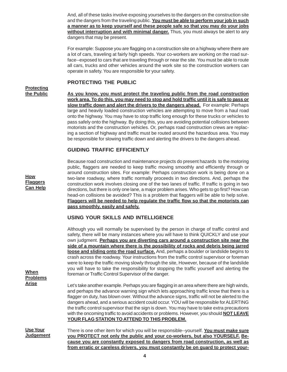And, all of these tasks involve exposing yourselves to the dangers on the construction site and the dangers from the traveling public. **You must be able to perform your job in such a manner as to keep yourself and these people safe so that you may do your jobs without interruption and with minimal danger.** Thus, you must always be alert to any dangers that may be present.

For example: Suppose you are flagging on a construction site on a highway where there are a lot of cars, traveling at fairly high speeds. Your co-workers are working on the road surface--exposed to cars that are traveling through or near the site. You must be able to route all cars, trucks and other vehicles around the work site so the construction workers can operate in safety. You are responsible for your safety.

#### **PROTECTING THE PUBLIC**

#### **Protecting the Public**

**How Flaggers Can Help**

**As you know, you must protect the traveling public from the road construction work area. To do this, you may need to stop and hold traffic until it is safe to pass or slow traffic down and alert the drivers to the dangers ahead.** For example: Perhaps large and heavily loaded construction vehicles are attempting to move from a haul road onto the highway. You may have to stop traffic long enough for these trucks or vehicles to pass safely onto the highway. By doing this, you are avoiding potential collisions between motorists and the construction vehicles. Or, perhaps road construction crews are replacing a section of highway and traffic must be routed around the hazardous area. You may be responsible for slowing traffic down and alerting the drivers to the dangers ahead.

#### **GUIDING TRAFFIC EFFICIENTLY**

Because road construction and maintenance projects do present hazards to the motoring public, flaggers are needed to keep traffic moving smoothly and efficiently through or around construction sites. For example: Perhaps construction work is being done on a two-lane roadway, where traffic normally proceeds in two directions. And, perhaps the construction work involves closing one of the two lanes of traffic. If traffic is going in two directions, but there is only one lane, a major problem arises. Who gets to go first? How can head-on collisions be avoided? This is a problem that flaggers will be able to help solve. **Flaggers will be needed to help regulate the traffic flow so that the motorists can pass smoothly, easily and safely.**

#### **USING YOUR SKILLS AND INTELLIGENCE**

|                                     | Although you will normally be supervised by the person in charge of traffic control and<br>safety, there will be many instances where you will have to think QUICKLY and use your                                                                                                                                                                                                                                                                                                                                                                                                                                                      |
|-------------------------------------|----------------------------------------------------------------------------------------------------------------------------------------------------------------------------------------------------------------------------------------------------------------------------------------------------------------------------------------------------------------------------------------------------------------------------------------------------------------------------------------------------------------------------------------------------------------------------------------------------------------------------------------|
|                                     | own judgment. Perhaps you are diverting cars around a construction site near the                                                                                                                                                                                                                                                                                                                                                                                                                                                                                                                                                       |
|                                     | side of a mountain where there is the possibility of rocks and debris being jarred                                                                                                                                                                                                                                                                                                                                                                                                                                                                                                                                                     |
| When<br><b>Problems</b>             | loose and sliding onto the road surface. And, perhaps a boulder or landslide begins to<br>crash across the roadway. Your instructions from the traffic control supervisor or foreman<br>were to keep the traffic moving slowly through the site, However, because of the landslide<br>you will have to take the responsibility for stopping the traffic yourself and alerting the<br>foreman or Traffic Control Supervisor of the danger.                                                                                                                                                                                              |
| <b>Arise</b>                        | Let's take another example. Perhaps you are flagging in an area where there are high winds,<br>and perhaps the advance warning sign which lets approaching traffic know that there is a<br>flagger on duty, has blown over. Without the advance signs, traffic will not be alerted to the<br>dangers ahead, and a serious accident could occur. YOU will be responsible for ALERTING<br>the traffic control supervisor that the sign is down. You may have to take extra precautions<br>with the oncoming traffic to avoid accidents or problems. However, you should <b>NOT LEAVE</b><br>YOUR FLAG STATION TO ATTEND TO THIS PROBLEM. |
| <b>Use Your</b><br><u>Judgement</u> | There is one other item for which you will be responsible--yourself. You must make sure<br>you PROTECT not only the public and your co-workers, but also YOURSELF. Be-                                                                                                                                                                                                                                                                                                                                                                                                                                                                 |
|                                     | cause you are constantly exposed to dangers from road construction, as well as                                                                                                                                                                                                                                                                                                                                                                                                                                                                                                                                                         |
|                                     | from erratic or careless drivers, you must constantly be on quard to protect your-                                                                                                                                                                                                                                                                                                                                                                                                                                                                                                                                                     |

**4**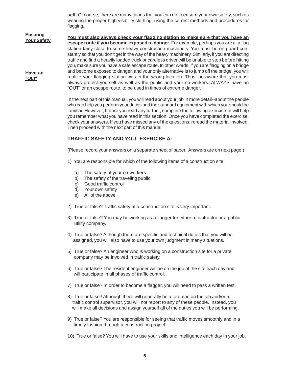**self.** Of course, there are many things that you can do to ensure your own safety, such as wearing the proper high visibility clothing, using the correct methods and procedures for flagging.

**You must also always check your flagging station to make sure that you have an escape route if you become exposed to danger.** For example, perhaps you are at a flag station fairly close to some heavy construction machinery. You must be on guard constantly so that you don't get in the way of the heavy machinery. Similarly, if you are directing traffic and find a heavily loaded truck or careless driver will be unable to stop before hitting you, make sure you have a safe escape route. In other words, if you are flagging on a bridge and become exposed to danger, and your only alternative is to jump off the bridge, you will realize your flagging station was in the wrong location. Thus, be aware that you must always protect yourself as well as the public and your co-workers. ALWAYS have an "OUT" or an escape route, to be used in times of extreme danger. **Ensuring Your Safety Have an**

> In the next part of this manual, you will read about your job in more detail--about the people who can help you perform your duties and the standard equipment with which you should be familiar. However, before you read any further, complete the following exercise--it will help you remember what you have read in this section. Once you have completed the exercise, check your answers. If you have missed any of the questions, reread the material involved. Then proceed with the next part of this manual.

#### **TRAFFIC SAFETY AND YOU--EXERCISE A:**

(Please record your answers on a separate sheet of paper. Answers are on next page.)

- 1) You are responsible for which of the following items of a construction site:
	- a) The safety of your co-workers
	- b) The safety of the traveling public
	- c) Good traffic control
	- d) Your own safety

**"Out"**

- e) All of the above
- 2) True or false? Traffic safety at a construction site is very important.
- 3) True or false? You may be working as a flagger for either a contractor or a public utility company.
- 4) True or false? Although there are specific and technical duties that you will be assigned, you will also have to use your own judgment in many situations.
- 5) True or false? An engineer who is working on a construction site for a private company may be involved in traffic safety.
- 6) True or false? The resident engineer will be on the job at the site each day and will participate in all phases of traffic control.
- 7) True or false? In order to become a flagger, you will need to pass a written test.
- 8) True or false? Although there will generally be a foreman on the job and/or a traffic control supervisor, you will not report to any of these people. Instead, you will make all decisions and assign yourself all of the duties you will be performing.
- 9) True or false? You are responsible for seeing that traffic moves smoothly and in a timely fashion through a construction project.
- 10) True or false? You will have to use your skills and intelligence each day in your job.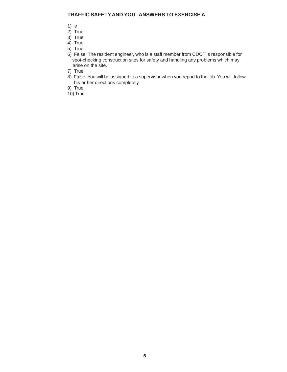#### **TRAFFIC SAFETY AND YOU--ANSWERS TO EXERCISE A:**

- 1) e
- 2) True
- 3) True
- 4) True
- 5) True
- 6) False. The resident engineer, who is a staff member from CDOT is responsible for spot-checking construction sites for safety and handling any problems which may arise on the site.
- 7) True
- 8) False. You will be assigned to a supervisor when you report to the job. You will follow his or her directions completely.
- 9) True
- 10) True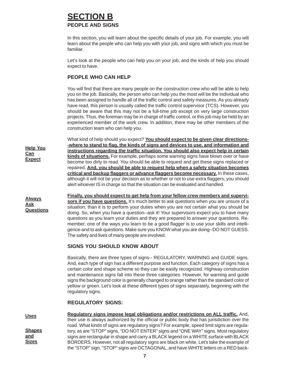## **SECTION B PEOPLE AND SIGNS**

In this section, you will learn about the specific details of your job. For example, you will learn about the people who can help you with your job, and signs with which you must be familiar.

Let's look at the people who can help you on your job, and the kinds of help you should expect to have.

#### **PEOPLE WHO CAN HELP**

**Help You Can Expect**

**Always Ask Questions** You will find that there are many people on the construction crew who will be able to help you on the job. Basically, the person who can help you the most will be the individual who has been assigned to handle all of the traffic control and safety measures. As you already have read, this person is usually called the traffic control supervisor (TCS). However, you should be aware that this may not be a full-time job except on very large construction projects. Thus, the foreman may be in charge of traffic control, or this job may be held by an experienced member of the work crew. In addition, there may be other members of the construction team who can help you.

What kind of help should you expect? **You should expect to be given clear directions- -where to stand to flag, the kinds of signs and devices to use, and information and instructions regarding the traffic situation. You should also expect help in certain kinds of situations.** For example, perhaps some warning signs have blown over or have become too dirty to read. You should be able to request and get these signs replaced or repaired. **And, you should be able to request help when a safety situation becomes critical and backup flaggers or advance flaggers become necessary.** In these cases, although it will not be your decision as to whether or not to use extra flaggers, you should alert whoever IS in charge so that the situation can be evaluated and handled.

**Finally, you should expect to get help from your fellow crew members and supervisors if you have questions.** It's much better to ask questions when you are unsure of a situation, than it is to perform your duties when you are not certain what you should be doing. So, when you have a question--ask it! Your supervisors expect you to have many questions as you learn your duties and they are prepared to answer your questions. Remember, one of the ways you learn to be a good flagger is to use your skills and intelligence-and to ask questions. Make sure you KNOW what you are doing--DO NOT GUESS. The safety and lives of many people are involved.

#### **SIGNS YOU SHOULD KNOW ABOUT**

Basically, there are three types of signs-- REGULATORY, WARNING and GUIDE signs. And, each type of sign has a different purpose and function. Each category of signs has a certain color and shape scheme so they can be easily recognized. Highway construction and maintenance signs fall into these three categories. However, for warning and guide signs the background color is generally changed to orange rather than the standard color of yellow or green. Let's look at these different types of signs separately, beginning with the regulatory signs.

#### **REGULATORY SIGNS:**

**Regulatory signs impose legal obligations and/or restrictions on ALL traffic.** And, their use is always authorized by the official or public body that has jurisdiction over the road. What kinds of signs are regulatory signs? For example, speed limit signs are regulatory, as are "STOP" signs, "DO NOT ENTER" signs and "ONE WAY" signs. Most regulatory signs are rectangular in shape and carry a BLACK legend on a WHITE surface with BLACK BORDERS. However, not all regulatory signs are black on white. Let's take the example of the "STOP" sign. "STOP" signs are OCTAGONAL, and have WHITE letters on a RED back-**Uses Shapes and Sizes**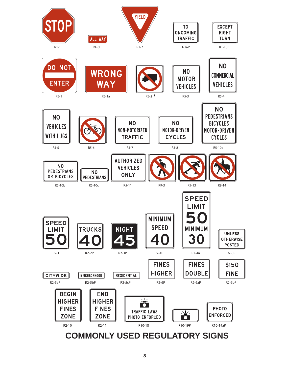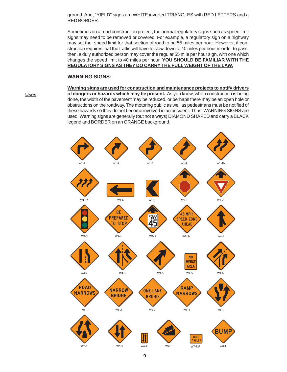ground. And, "YIELD" signs are WHITE inverted TRIANGLES with RED LETTERS and a RED BORDER.

Sometimes on a road construction project, the normal regulatory signs such as speed limit signs may need to be removed or covered. For example, a regulatory sign on a highway may set the speed limit for that section of road to be 55 miles per hour. However, if construction requires that the traffic will have to slow down to 40 miles per hour in order to pass, then, a duly authorized person may cover the regular 55 mile per hour sign, with one which changes the speed limit to 40 miles per hour. **YOU SHOULD BE FAMILIAR WITH THE REGULATORY SIGNS AS THEY DO CARRY THE FULL WEIGHT OF THE LAW.**

#### **WARNING SIGNS:**

**Uses**

**Warning signs are used for construction and maintenance projects to notify drivers of dangers or hazards which may be present.** As you know, when construction is being done, the width of the pavement may be reduced, or perhaps there may be an open hole or obstructions on the roadway. The motoring public as well as pedestrians must be notified of these hazards so they do not become involved in an accident. Thus, WARNING SIGNS are used. Warning signs are generally (but not always) DIAMOND SHAPED and carry a BLACK legend and BORDER on an ORANGE background.

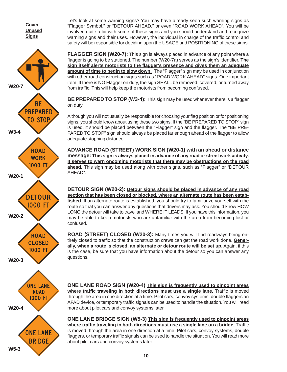**Cover Unused Signs**



**ONE LANE ROAD** 1000 FT

**W20-4 ONE LANE BRIDGE W5-3**

Let's look at some warning signs? You may have already seen such warning signs as "Flagger Symbol," or "DETOUR AHEAD," or even "ROAD WORK AHEAD". You will be involved quite a bit with some of these signs and you should understand and recognize warning signs and their uses. However, the individual in charge of the traffic control and safety will be responsible for deciding upon the USAGE and POSITIONING of these signs.

**FLAGGER SIGN (W20-7):** This sign is always placed in advance of any point where a flagger is going to be stationed. The number (W20-7a) serves as the sign's identifier. **The sign itself alerts motorists to the flagger's presence and gives them an adequate amount of time to begin to slow down.** The "Flagger" sign may be used in conjunction with other road construction signs such as "ROAD WORK AHEAD" signs. One important item: If there is NO Flagger on duty, the sign SHALL be removed, covered, or turned away from traffic. This will help keep the motorists from becoming confused.

**BE PREPARED TO STOP (W3-4):** This sign may be used whenever there is a flagger on duty.

Although you will not usually be responsible for choosing your flag position or for positioning signs, you should know about using these two signs. If the "BE PREPARED TO STOP" sign is used, it should be placed between the "Flagger" sign and the flagger. The "BE PRE-PARED TO STOP" sign should always be placed far enough ahead of the flagger to allow adequate stopping distance.

**ADVANCE ROAD (STREET) WORK SIGN (W20-1) with an ahead or distance message: This sign is always placed in advance of any road or street work activity. It serves to warn oncoming motorists that there may be obstructions on the road ahead.** This sign may be used along with other signs, such as "Flagger" or "DETOUR AHEAD".

**DETOUR SIGN (W20-2): Detour signs should be placed in advance of any road section that has been closed or blocked, where an alternate route has been established.** If an alternate route is established, you should try to familiarize yourself with the route so that you can answer any questions that drivers may ask. You should know HOW LONG the detour will take to travel and WHERE IT LEADS. If you have this information, you may be able to keep motorists who are unfamiliar with the area from becoming lost or confused.

**ROAD (STREET) CLOSED (W20-3):** Many times you will find roadways being entirely closed to traffic so that the construction crews can get the road work done. **Generally, when a route is closed, an alternate or detour route will be set up.** Again, if this is the case, be sure that you have information about the detour so you can answer any questions.

**ONE LANE ROAD SIGN (W20-4) This sign is frequently used to pinpoint areas where traffic traveling in both directions must use a single lane.** Traffic is moved through the area in one direction at a time. Pilot cars, convoy systems, double flaggers an AFAD device, or temporary traffic signals can be used to handle the situation. You will read more about pilot cars and convoy systems later.

**ONE LANE BRIDGE SIGN (W5-3) This sign is frequently used to pinpoint areas where traffic traveling in both directions must use a single lane on a bridge.** Traffic is moved through the area in one direction at a time. Pilot cars, convoy systems, double flaggers, or temporary traffic signals can be used to handle the situation. You will read more about pilot cars and convoy systems later.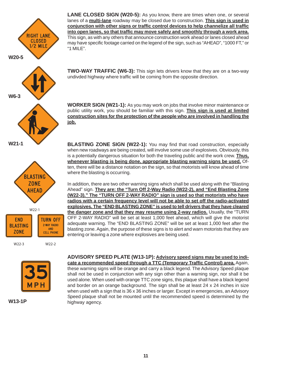



**W13-1P**

**ADVISORY SPEED PLATE (W13-1P): Advisory speed signs may be used to indicate a recommended speed through a TTC (Temporary Traffic Control) area.** Again, these warning signs will be orange and carry a black legend. The Advisory Speed plaque shall not be used in conjunction with any sign other than a warning sign, nor shall it be used alone. When used with orange TTC zone signs, this plaque shall have a black legend and border on an orange background. The sign shall be at least 24 x 24 inches in size when used with a sign that is 36 x 36 inches or larger. Except in emergencies, an Advisory Speed plaque shall not be mounted until the recommended speed is determined by the highway agency.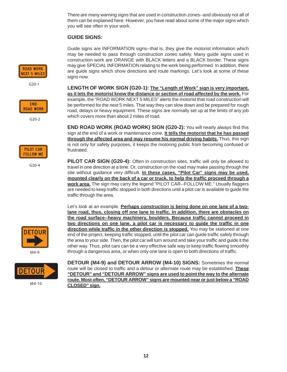There are many warning signs that are used in construction zones--and obviously not all of them can be explained here. However, you have read about some of the major signs which you will see often in your work.

#### **GUIDE SIGNS:**

Guide signs are INFORMATION signs--that is, they give the motorist information which may be needed to pass through construction zones safely. Many guide signs used in construction work are ORANGE with BLACK letters and a BLACK border. These signs may give SPECIAL INFORMATION relating to the work being performed. In addition, there are guide signs which show directions and route markings. Let's look at some of these signs now.

**LENGTH OF WORK SIGN (G20-1): The "Length of Work" sign is very important, as it lets the motorist know the distance or section of road affected by the work.** For example, the "ROAD WORK NEXT 5 MILES" alerts the motorist that road construction will be performed for the next 5 miles. That way they can slow down and be prepared for rough road, delays or heavy equipment. These signs are normally set up at the limits of any job which covers more than about 2 miles of road.

**END ROAD WORK (ROAD WORK) SIGN (G20-2):** You will nearly always find this sign at the end of a work or maintenance zone. **It tells the motorist that he has passed through the affected area and may resume his normal driving habits.** Thus, this sign is not only for safety purposes, it keeps the motoring public from becoming confused or frustrated.

**PILOT CAR SIGN (G20-4):** Often in construction sites, traffic will only be allowed to travel in one direction at a time. Or, construction on the road may make passing through the site without guidance very difficult. **In these cases, "Pilot Car" signs may be used, mounted clearly on the back of a car or truck, to help the traffic proceed through a work area.** The sign may carry the legend "PILOT CAR--FOLLOW ME." Usually flaggers are needed to keep traffic stopped in both directions until a pilot car is available to guide the traffic through the area.

Let's look at an example. **Perhaps construction is being done on one lane of a twolane road, thus, closing off one lane to traffic. In addition, there are obstacles on the road surface--heavy machinery, boulders. Because traffic cannot proceed in two directions on one lane, a pilot car is necessary to guide the traffic in one direction while traffic in the other direction is stopped.** You may be stationed at one end of the project, keeping traffic stopped, until the pilot car can guide traffic safely through the area to your side. Then, the pilot car will turn around and take your traffic and guide it the other way. Thus, pilot cars can be a very effective safe way to keep traffic flowing smoothly through a dangerous area, or when only one lane is open to both directions of traffic.

**DETOUR (M4-9) and DETOUR ARROW (M4-10) SIGNS:** Sometimes the normal route will be closed to traffic and a detour or alternate route may be established. **These "DETOUR" and "DETOUR ARROW" signs are used to point the way to the alternate route. Most often, "DETOUR ARROW" signs are mounted near or just below a "ROAD CLOSED" sign.**



 $G20-1$ 



 $G20-2$ 



 $G20-4$ 



M4-9



M4-10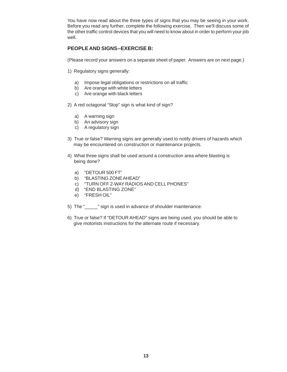You have now read about the three types of signs that you may be seeing in your work. Before you read any further, complete the following exercise. Then we'll discuss some of the other traffic control devices that you will need to know about in order to perform your job well.

#### **PEOPLE AND SIGNS--EXERCISE B:**

(Please record your answers on a separate sheet of paper. Answers are on next page.)

- 1) Regulatory signs generally:
	- a) Impose legal obligations or restrictions on all traffic
	- b) Are orange with white letters
	- c) Are orange with black letters
- 2) A red octagonal "Stop" sign is what kind of sign?
	- a) A warning sign
	- b) An advisory sign
	- c) A regulatory sign
- 3) True or false? Warning signs are generally used to notify drivers of hazards which may be encountered on construction or maintenance projects.
- 4) What three signs shall be used around a construction area where blasting is being done?
	- a) "DETOUR 500 FT"
	- b) "BLASTING ZONE AHEAD"
	- c) "TURN OFF 2-WAY RADIOS AND CELL PHONES"
	- d) "END BLASTING ZONE"
	- e) "FRESH OIL"
- 5) The "\_\_\_\_\_" sign is used in advance of shoulder maintenance.
- 6) True or false? If "DETOUR AHEAD" signs are being used, you should be able to give motorists instructions for the alternate route if necessary.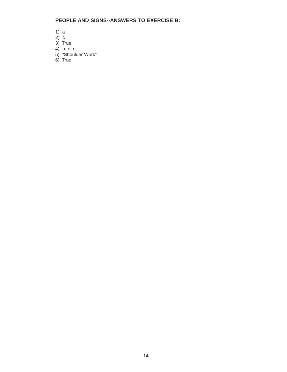#### **PEOPLE AND SIGNS--ANSWERS TO EXERCISE B:**

- 1) a
- $2)$  c
- 3) True
- 4) b, c, d
- 5) "Shoulder Work"
- 6) True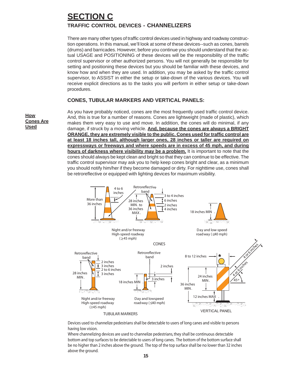# **SECTION C TRAFFIC CONTROL DEVICES - CHANNELIZERS**

There are many other types of traffic control devices used in highway and roadway construction operations. In this manual, we'll look at some of these devices--such as cones, barrels (drums) and barricades. However, before you continue you should understand that the actual USAGE and POSITIONING of these devices will be the responsibility of the traffic control supervisor or other authorized persons. You will not generally be responsible for setting and positioning these devices but you should be familiar with these devices, and know how and when they are used. In addition, you may be asked by the traffic control supervisor, to ASSIST in either the setup or take-down of the various devices. You will receive explicit directions as to the tasks you will perform in either setup or take-down procedures.

#### **CONES, TUBULAR MARKERS AND VERTICAL PANELS:**

**How Cones Are Used**

As you have probably noticed, cones are the most frequently used traffic control device. And, this is true for a number of reasons. Cones are lightweight (made of plastic), which makes them very easy to use and move. In addition, the cones will do minimal, if any damage, if struck by a moving vehicle. **And, because the cones are always a BRIGHT ORANGE, they are extremely visible to the public. Cones used for traffic control are at least 18 inches tall, although larger ones, 28 inches or taller are required on expressways or freeways and where speeds are in excess of 45 mph, and during hours of darkness where visibility may be a problem.** It is important to note that the cones should always be kept clean and bright so that they can continue to be effective. The traffic control supervisor may ask you to help keep cones bright and clear, as a minimum you should notify him/her if they become damaged or dirty. For nighttime use, cones shall be retroreflective or equipped with lighting devices for maximum visibility.



Devices used to channelize pedestrians shall be detectable to users of long canes and visible to persons having low vision.

Where channelizing devices are used to channelize pedestrians, they shall be continuous detectable bottom and top surfaces to be detectable to users of long canes. The bottom of the bottom surface shall be no higher than 2 inches above the ground. The top of the top surface shall be no lower than 32 inches above the ground.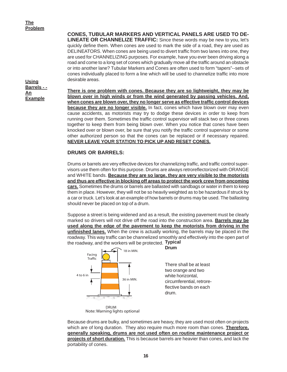**Using Barrels - - An Example**

**CONES, TUBULAR MARKERS AND VERTICAL PANELS ARE USED TO DE-LINEATE OR CHANNELIZE TRAFFIC:** Since these words may be new to you, let's quickly define them. When cones are used to mark the side of a road, they are used as DELINEATORS. When cones are being used to divert traffic from two lanes into one, they are used for CHANNELIZING purposes. For example, have you ever been driving along a road and come to a long set of cones which gradually move all the traffic around an obstacle or into another lane? Tubular Markers and Cones are often used to form "tapers"--sets of cones individually placed to form a line which will be used to channelize traffic into more desirable areas.

**There is one problem with cones. Because they are so lightweight, they may be blown over in high winds or from the wind generated by passing vehicles. And, when cones are blown over, they no longer serve as effective traffic control devices because they are no longer visible.** In fact, cones which have blown over may even cause accidents, as motorists may try to dodge these devices in order to keep from running over them. Sometimes the traffic control supervisor will stack two or three cones together to keep them from being blown over. When you notice that cones have been knocked over or blown over, be sure that you notify the traffic control supervisor or some other authorized person so that the cones can be replaced or if necessary repaired. **NEVER LEAVE YOUR STATION TO PICK UP AND RESET CONES.**

#### **DRUMS OR BARRELS:**

Drums or barrels are very effective devices for channelizing traffic, and traffic control supervisors use them often for this purpose. Drums are always retroreflectorized with ORANGE and WHITE bands. **Because they are so large, they are very visible to the motorists and thus are effective in blocking off areas to protect the work crew from oncoming cars.** Sometimes the drums or barrels are ballasted with sandbags or water in them to keep them in place. However, they will not be so heavily weighted as to be hazardous if struck by a car or truck. Let's look at an example of how barrels or drums may be used. The ballasting should never be placed on top of a drum.

**Typical** the roadway, and the workers will be protected. Suppose a street is being widened and as a result, the existing pavement must be clearly marked so drivers will not drive off the road into the construction area. **Barrels may be used along the edge of the pavement to keep the motorists from driving in the unfinished lanes.** When the crew is actually working, the barrels may be placed in the roadway. This way traffic can be channelized smoothly and effectively into the open part of



Because drums are bulky, and sometimes are heavy, they are used most often on projects which are of long duration. They also require much more room than cones. **Therefore, generally speaking, drums are not used often on routine maintenance project or projects of short duration.** This is because barrels are heavier than cones, and lack the portability of cones.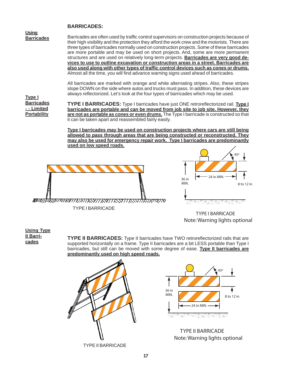#### **BARRICADES:**

**Using Barricades**

Barricades are often used by traffic control supervisors on construction projects because of their high visibility and the protection they afford the work crew and the motorists. There are three types of barricades normally used on construction projects. Some of these barricades are more portable and may be used on short projects. And, some are more permanent structures and are used on relatively long-term projects. **Barricades are very good devices to use to outline excavation or construction areas in a street. Barricades are also used along with other types of traffic control devices such as cones or drums.** Almost all the time, you will find advance warning signs used ahead of barricades.

All barricades are marked with orange and white alternating stripes. Also, these stripes slope DOWN on the side where autos and trucks must pass. In addition, these devices are always reflectorized. Let's look at the four types of barricades which may be used.

**Type I Barricades - - Limited Portability**

**TYPE I BARRICADES:** Type I barricades have just ONE retroreflectorized rail. **Type I barricades are portable and can be moved from job site to job site. However, they are not as portable as cones or even drums.** The Type I barricade is constructed so that it can be taken apart and reassembled fairly easily.

**Type I barricades may be used on construction projects where cars are still being allowed to pass through areas that are being constructed or reconstructed. They may also be used for emergency repair work. Type I barricades are predominantly used on low speed roads.**





TYPE I BARRICADE Note: Warning lights optional

#### **Using Type II Barricades**

**TYPE II BARRICADES:** Type II barricades have TWO retroreflectorized rails that are supported horizontally on a frame. Type II barricades are a bit LESS portable than Type I barricades, but still can be moved with some degree of ease. **Type II barricades are predominantly used on high speed roads.**





**TYPE II BARRICADE** Note: Warning lights optional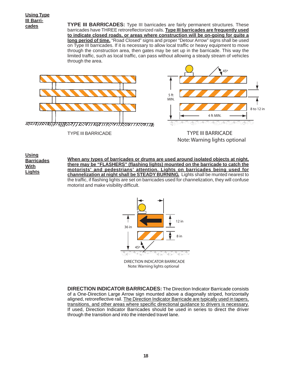**Using Type III Barricades**

**TYPE III BARRICADES:** Type III barricades are fairly permanent structures. These barricades have THREE retroreflectorized rails. **Type III barricades are frequently used to indicate closed roads, or areas where construction will be on-going for quite a long period of time.** "Road Closed" signs and proper "Detour Arrow" signs shall be used on Type III barricades. If it is necessary to allow local traffic or heavy equipment to move through the construction area, then gates may be set up in the barricade. This way the limited traffic, such as local traffic, can pass without allowing a steady stream of vehicles through the area.



TYPE III BARRICADE



#### **TYPE III BARRICADE** Note: Warning lights optional

**When any types of barricades or drums are used around isolated objects at night, there may be "FLASHERS" (flashing lights) mounted on the barricade to catch the motorists' and pedestrians' attention. Lights on barricades being used for channelization at night shall be STEADY BURNING.** Lights shall be munted nearest to the traffic, if flashing lights are set on barricades used for channelization, they will confuse motorist and make visibility difficult. **Using Barricades With Lights**



**DIRECTION INDICATOR BARRICADE Note: Warning lights optional** 

**DIRECTION INDICATOR BARRICADES:** The Direction Indicator Barricade consists of a One-Direction Large Arrow sign mounted above a diagonally striped, horizontally aligned, retroreflective rail. The Direction Indicator Barricade are typically used in tapers, transitions, and other areas where specific directional guidance to drivers is necessary. If used, Direction Indicator Barricades should be used in series to direct the driver through the transition and into the intended travel lane.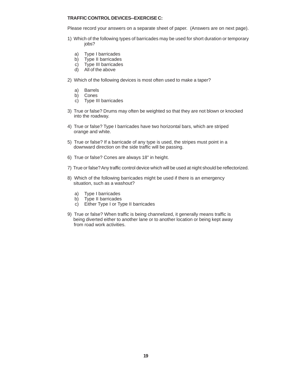#### **TRAFFIC CONTROL DEVICES--EXERCISE C:**

Please record your answers on a separate sheet of paper. (Answers are on next page).

- 1) Which of the following types of barricades may be used for short duration or temporary jobs?
	- a) Type I barricades
	- b) Type II barricades
	- c) Type III barricades
	- d) All of the above
- 2) Which of the following devices is most often used to make a taper?
	- a) Barrels
	- b) Cones
	- c) Type III barricades
- 3) True or false? Drums may often be weighted so that they are not blown or knocked into the roadway.
- 4) True or false? Type I barricades have two horizontal bars, which are striped orange and white.
- 5) True or false? If a barricade of any type is used, the stripes must point in a downward direction on the side traffic will be passing.
- 6) True or false? Cones are always 18" in height.
- 7) True or false? Any traffic control device which will be used at night should be reflectorized.
- 8) Which of the following barricades might be used if there is an emergency situation, such as a washout?
	- a) Type I barricades
	- b) Type II barricades
	- c) Either Type I or Type II barricades
- 9) True or false? When traffic is being channelized, it generally means traffic is being diverted either to another lane or to another location or being kept away from road work activities.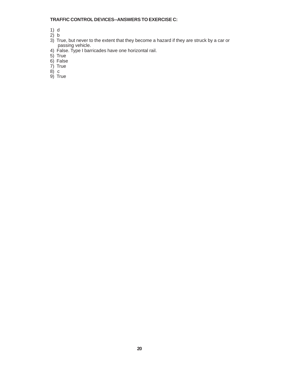#### **TRAFFIC CONTROL DEVICES--ANSWERS TO EXERCISE C:**

- 1) d
- 2) b
- 3) True, but never to the extent that they become a hazard if they are struck by a car or passing vehicle.
- 4) False. Type I barricades have one horizontal rail.
- 5) True
- 6) False
- 7) True
- 8) c
- 9) True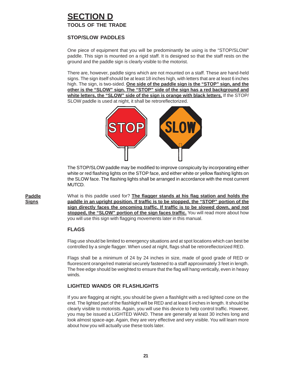## **SECTION D TOOLS OF THE TRADE**

#### **STOP/SLOW PADDLES**

One piece of equipment that you will be predominantly be using is the "STOP/SLOW" paddle. This sign is mounted on a rigid staff. It is designed so that the staff rests on the ground and the paddle sign is clearly visible to the motorist.

There are, however, paddle signs which are not mounted on a staff. These are hand-held signs. The sign itself should be at least 18 inches high, with letters that are at least 6 inches high. The sign, is two-sided. **One side of the paddle sign is the "STOP" sign, and the other is the "SLOW" sign. The "STOP" side of the sign has a red background and white letters, the "SLOW" side of the sign is orange with black letters.** If the STOP/ SLOW paddle is used at night, it shall be retroreflectorized.



The STOP/SLOW paddle may be modified to improve conspicuity by incorporating either white or red flashing lights on the STOP face, and either white or yellow flashing lights on the SLOW face. The flashing lights shall be arranged in accordance with the most current MUTCD.

**Paddle Signs**

What is this paddle used for? **The flagger stands at his flag station and holds the paddle in an upright position. If traffic is to be stopped, the "STOP" portion of the sign directly faces the oncoming traffic. If traffic is to be slowed down, and not stopped, the "SLOW" portion of the sign faces traffic.** You will read more about how you will use this sign with flagging movements later in this manual.

#### **FLAGS**

Flag use should be limited to emergency situations and at spot locations which can best be controlled by a single flagger. When used at night, flags shall be retroreflectorized RED.

Flags shall be a minimum of 24 by 24 inches in size, made of good grade of RED or fluorescent orange/red material securely fastened to a staff approximately 3 feet in length. The free edge should be weighted to ensure that the flag will hang vertically, even in heavy winds.

#### **LIGHTED WANDS OR FLASHLIGHTS**

If you are flagging at night, you should be given a flashlight with a red lighted cone on the end. The lighted part of the flashlight will be RED and at least 6 inches in length. It should be clearly visible to motorists. Again, you will use this device to help control traffic. However, you may be issued a LIGHTED WAND. These are generally at least 30 inches long and look almost space-age. Again, they are very effective and very visible. You will learn more about how you will actually use these tools later.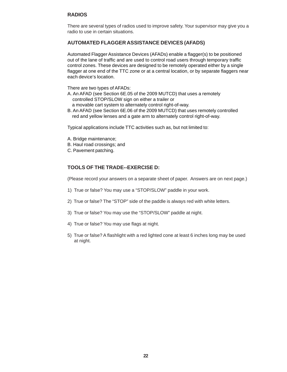#### **RADIOS**

There are several types of radios used to improve safety. Your supervisor may give you a radio to use in certain situations.

#### **AUTOMATED FLAGGER ASSISTANCE DEVICES (AFADS)**

Automated Flagger Assistance Devices (AFADs) enable a flagger(s) to be positioned out of the lane of traffic and are used to control road users through temporary traffic control zones. These devices are designed to be remotely operated either by a single flagger at one end of the TTC zone or at a central location, or by separate flaggers near each device's location.

There are two types of AFADs:

- A. An AFAD (see Section 6E.05 of the 2009 MUTCD) that uses a remotely controlled STOP/SLOW sign on either a trailer or
	- a movable cart system to alternately control right-of-way.
- B. An AFAD (see Section 6E.06 of the 2009 MUTCD) that uses remotely controlled red and yellow lenses and a gate arm to alternately control right-of-way.

Typical applications include TTC activities such as, but not limited to:

- A. Bridge maintenance;
- B. Haul road crossings; and
- C. Pavement patching.

#### **TOOLS OF THE TRADE--EXERCISE D:**

(Please record your answers on a separate sheet of paper. Answers are on next page.)

- 1) True or false? You may use a "STOP/SLOW" paddle in your work.
- 2) True or false? The "STOP" side of the paddle is always red with white letters.
- 3) True or false? You may use the "STOP/SLOW" paddle at night.
- 4) True or false? You may use flags at night.
- 5) True or false? A flashlight with a red lighted cone at least 6 inches long may be used at night.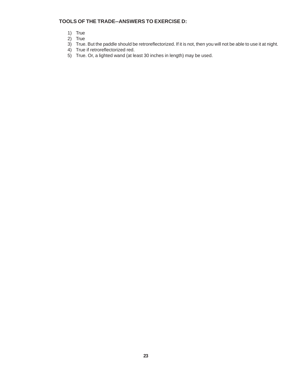#### **TOOLS OF THE TRADE--ANSWERS TO EXERCISE D:**

- 1) True
- 2) True
- 3) True. But the paddle should be retroreflectorized. If it is not, then you will not be able to use it at night.
- 4) True if retroreflectorized red.
	- 5) True. Or, a lighted wand (at least 30 inches in length) may be used.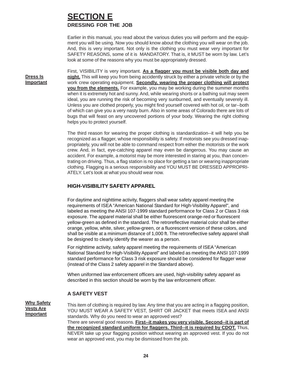### **SECTION E DRESSING FOR THE JOB**

Earlier in this manual, you read about the various duties you will perform and the equipment you will be using. Now you should know about the clothing you will wear on the job. And, this is very important. Not only is the clothing you must wear very important for SAFETY REASONS, some of it is MANDATORY. That is, it MUST be worn by law. Let's look at some of the reasons why you must be appropriately dressed.

**Dress Is Important**

First, VISIBILITY is very important. **As a flagger you must be visible both day and night.** This will keep you from being accidently struck by either a private vehicle or by the work crew operating equipment. **Secondly, wearing the proper clothing will protect you from the elements.** For example, you may be working during the summer months when it is extremely hot and sunny. And, while wearing shorts or a bathing suit may seem ideal, you are running the risk of becoming very sunburned, and eventually severely ill. Unless you are clothed properly, you might find yourself covered with hot oil, or tar--both of which can give you a very nasty burn. Also in some areas of Colorado there are lots of bugs that will feast on any uncovered portions of your body. Wearing the right clothing helps you to protect yourself.

The third reason for wearing the proper clothing is standardization--it will help you be recognized as a flagger, whose responsibility is safety. If motorists see you dressed inappropriately, you will not be able to command respect from either the motorists or the work crew. And, in fact, eye-catching apparel may even be dangerous. You may cause an accident. For example, a motorist may be more interested in staring at you, than concentrating on driving. Thus, a flag station is no place for getting a tan or wearing inappropriate clothing. Flagging is a serious responsibility and YOU MUST BE DRESSED APPROPRI-ATELY. Let's look at what you should wear now.

#### **HIGH-VISIBILITY SAFETY APPAREL**

For daytime and nighttime activity, flaggers shall wear safety apparel meeting the requirements of ISEA "American National Standard for High-Visibility Apparel", and labeled as meeting the ANSI 107-1999 standard performance for Class 2 or Class 3 risk exposure. The apparel material shall be either fluorescent orange-red or fluorescent yellow-green as defined in the standard. The retroreflective material color shall be either orange, yellow, white, silver, yellow-green, or a fluorescent version of these colors, and shall be visible at a minimum distance of 1,000 ft. The retroreflective safety apparel shall be designed to clearly identify the wearer as a person.

For nighttime activity, safety apparel meeting the requirements of ISEA "American National Standard for High-Visibility Apparel" and labeled as meeting the ANSI 107-1999 standard performance for Class 3 risk exposure should be considered for flagger wear (instead of the Class 2 safety apparel in the Standard above).

When uniformed law enforcement officers are used, high-visibility safety apparel as described in this section should be worn by the law enforcement officer.

#### **A SAFETY VEST**

**Why Safety Vests Are Important**

This item of clothing is required by law. Any time that you are acting in a flagging position, YOU MUST WEAR A SAFETY VEST, SHIRT OR JACKET that meets ISEA and ANSI standards. Why do you need to wear an approved vest? There are several good reasons. **First--it makes you very visible. Second--it is part of the recognized standard uniform for flaggers. Third--it is required by CDOT.** Thus, NEVER take up your flagging position without wearing an approved vest. If you do not

wear an approved vest, you may be dismissed from the job.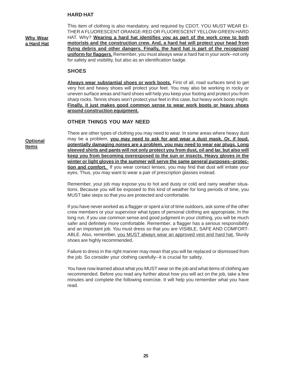#### **HARD HAT**

**Why Wear a Hard Hat**

This item of clothing is also mandatory, and required by CDOT. YOU MUST WEAR EI-THER A FLUORESCENT ORANGE-RED OR FLUORESCENT YELLOW-GREEN HARD HAT. Why? **Wearing a hard hat identifies you as part of the work crew to both motorists and the construction crew. And, a hard hat will protect your head from flying debris and other dangers. Finally, the hard hat is part of the recognized uniform for flaggers.** Remember, you must always wear a hard hat in your work--not only for safety and visibility, but also as an identification badge.

#### **SHOES**

**Always wear substantial shoes or work boots.** First of all, road surfaces tend to get very hot and heavy shoes will protect your feet. You may also be working in rocky or uneven surface areas and hard shoes will help you keep your footing and protect you from sharp rocks. Tennis shoes won't protect your feet in this case, but heavy work boots might. **Finally, it just makes good common sense to wear work boots or heavy shoes around construction equipment.**

#### **OTHER THINGS YOU MAY NEED**

**Optional Items**

There are other types of clothing you may need to wear. In some areas where heavy dust may be a problem, **you may need to ask for and wear a dust mask. Or, if loud, potentially damaging noises are a problem, you may need to wear ear plugs. Long sleeved shirts and pants will not only protect you from dust, oil and tar, but also will keep you from becoming overexposed to the sun or insects. Heavy gloves in the winter or light gloves in the summer will serve the same general purposes--protection and comfort.** If you wear contact lenses, you may find that dust will irritate your eyes. Thus, you may want to wear a pair of prescription glasses instead.

Remember, your job may expose you to hot and dusty or cold and rainy weather situations. Because you will be exposed to this kind of weather for long periods of time, you MUST take steps so that you are protected and comfortable.

If you have never worked as a flagger or spent a lot of time outdoors, ask some of the other crew members or your supervisor what types of personal clothing are appropriate, In the long run, if you use common sense and good judgment in your clothing, you will be much safer and definitely more comfortable. Remember, a flagger has a serious responsibility and an important job. You must dress so that you are VISIBLE, SAFE AND COMFORT-ABLE. Also, remember, you MUST always wear an approved vest and hard hat. Sturdy shoes are highly recommended.

Failure to dress in the right manner may mean that you will be replaced or dismissed from the job. So consider your clothing carefully--it is crucial for safety.

You have now learned about what you MUST wear on the job and what items of clothing are recommended. Before you read any further about how you will act on the job, take a few minutes and complete the following exercise. It will help you remember what you have read.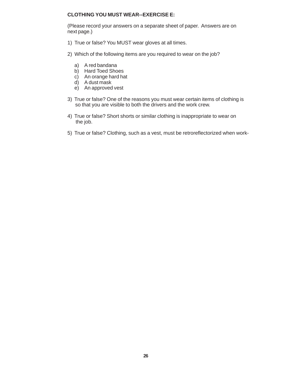#### **CLOTHING YOU MUST WEAR--EXERCISE E:**

(Please record your answers on a separate sheet of paper. Answers are on next page.)

- 1) True or false? You MUST wear gloves at all times.
- 2) Which of the following items are you required to wear on the job?
	- a) A red bandana
	- b) Hard Toed Shoes
	- c) An orange hard hat
	- d) A dust mask
	- e) An approved vest
- 3) True or false? One of the reasons you must wear certain items of clothing is so that you are visible to both the drivers and the work crew.
- 4) True or false? Short shorts or similar clothing is inappropriate to wear on the job.
- 5) True or false? Clothing, such as a vest, must be retroreflectorized when work-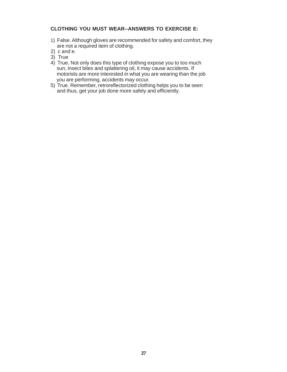#### **CLOTHING YOU MUST WEAR--ANSWERS TO EXERCISE E:**

- 1) False. Although gloves are recommended for safety and comfort, they are not a required item of clothing.
- 2) c and e.
- 3) True
- 4) True. Not only does this type of clothing expose you to too much sun, insect bites and splattering oil, it may cause accidents. If motorists are more interested in what you are wearing than the job you are performing, accidents may occur.
- 5) True. Remember, retroreflectorized clothing helps you to be seen and thus, get your job done more safely and efficiently.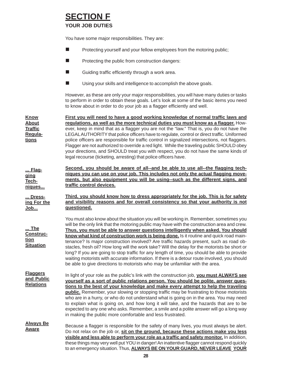# **SECTION F**

### **YOUR JOB DUTIES**

You have some major responsibilities. They are:

- **Protecting yourself and your fellow employees from the motoring public;**
- **Protecting the public from construction dangers:**
- Guiding traffic efficiently through a work area.
- Using your skills and intelligence to accomplish the above goals.

However, as these are only your major responsibilities, you will have many duties or tasks to perform in order to obtain these goals. Let's look at some of the basic items you need to know about in order to do your job as a flagger efficiently and well.

| <u>Know</u><br><b>About</b><br><b>Traffic</b><br>Regula-<br>tions   | First you will need to have a good working knowledge of normal traffic laws and<br>requiations, as well as the more technical duties you must know as a flagger. How-<br>ever, keep in mind that as a flagger you are not the "law." That is, you do not have the<br>LEGAL AUTHORITY that police officers have to regulate, control or direct traffic. Uniformed<br>police officers are responsible for traffic control in signalized intersections, not flaggers.<br>Flagger are not authorized to override a red light. While the traveling public SHOULD obey<br>your directions, and SHOULD treat you with respect, you do not have the same kinds of<br>legal recourse (ticketing, arresting) that police officers have.                                                                                                                 |  |  |  |  |  |
|---------------------------------------------------------------------|-----------------------------------------------------------------------------------------------------------------------------------------------------------------------------------------------------------------------------------------------------------------------------------------------------------------------------------------------------------------------------------------------------------------------------------------------------------------------------------------------------------------------------------------------------------------------------------------------------------------------------------------------------------------------------------------------------------------------------------------------------------------------------------------------------------------------------------------------|--|--|--|--|--|
| <u> Flag-</u><br>ging<br>Tech-<br>niques                            | Second, you should be aware of all--and be able to use all--the flagging tech-<br>niques you can use on your job. This includes not only the actual flagging move-<br>ments, but also equipment you will be using--such as the different signs, and<br>traffic control devices.                                                                                                                                                                                                                                                                                                                                                                                                                                                                                                                                                               |  |  |  |  |  |
| Dress-<br>ing For the<br><u>Job</u>                                 | Third, you should know how to dress appropriately for the job. This is for safety<br>and visibility reasons and for overall consistency so that your authority is not<br>questioned.                                                                                                                                                                                                                                                                                                                                                                                                                                                                                                                                                                                                                                                          |  |  |  |  |  |
| <u> The </u><br><b>Construc-</b><br><u>tion</u><br><b>Situation</b> | You must also know about the situation you will be working in. Remember, sometimes you<br>will be the only link that the motoring public may have with the construction area and crew.<br>Thus, you must be able to answer questions intelligently when asked. You should<br>know what kind of construction work is being done. Is it routine and quick road main-<br>tenance? Is major construction involved? Are traffic hazards present, such as road ob-<br>stacles, fresh oil? How long will the work take? Will the delay for the motorists be short or<br>long? If you are going to stop traffic for any length of time, you should be able to provide<br>waiting motorists with accurate information. If there is a detour route involved, you should<br>be able to give directions to motorists who may be unfamiliar with the area. |  |  |  |  |  |
| <b>Flaggers</b><br>and Public<br><b>Relations</b>                   | In light of your role as the public's link with the construction job, you must ALWAYS see<br>yourself as a sort of public relations person. You should be polite, answer ques-<br>tions to the best of your knowledge and make every attempt to help the traveling<br><b>public.</b> Remember, your slowing or stopping traffic may be frustrating to those motorists<br>who are in a hurry, or who do not understand what is going on in the area. You may need<br>to explain what is going on, and how long it will take, and the hazards that are to be<br>expected to any one who asks. Remember, a smile and a polite answer will go a long way<br>in making the public more comfortable and less frustrated.                                                                                                                            |  |  |  |  |  |
| <b>Always Be</b><br>Aware                                           | Because a flagger is responsible for the safety of many lives, you must always be alert.<br>Do not relax on the job or, sit on the ground, because these actions make you less<br>visible and less able to perform your role as a traffic and safety monitor. In addition,<br>these things may very well put YOU in danger! An inattentive flagger cannot respond quickly<br>to an emergency situation. Thus, ALWAYS BE ON YOUR GUARD, NEVER LEAVE YOUR                                                                                                                                                                                                                                                                                                                                                                                       |  |  |  |  |  |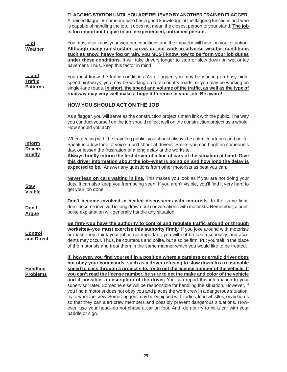|                                                   | <b>FLAGGING STATION UNTIL YOU ARE RELIEVED BY ANOTHER TRAINED FLAGGER.</b><br>A trained flagger is someone who has a good knowledge of the flagging functions and who<br>is capable of handling the job. It does not mean the closest person to your stand. The job<br>is too important to give to an inexperienced, untrained person.                                                                                                                                                                                                                                                                                                                                                                                                                                                                                                                                                                                                          |  |  |  |  |
|---------------------------------------------------|-------------------------------------------------------------------------------------------------------------------------------------------------------------------------------------------------------------------------------------------------------------------------------------------------------------------------------------------------------------------------------------------------------------------------------------------------------------------------------------------------------------------------------------------------------------------------------------------------------------------------------------------------------------------------------------------------------------------------------------------------------------------------------------------------------------------------------------------------------------------------------------------------------------------------------------------------|--|--|--|--|
| $$ of<br><b>Weather</b>                           | You must also know your weather conditions and the impact it will have on your situation.<br>Although many construction crews do not work in adverse weather conditions<br>such as snow, heavy fog or rain, you MUST know how to perform your job duties<br>under these conditions. It will take drivers longer to stop or slow down on wet or icy<br>pavement. Thus, keep this factor in mind.                                                                                                                                                                                                                                                                                                                                                                                                                                                                                                                                                 |  |  |  |  |
| <u> and</u><br><b>Traffic</b><br><b>Patterns</b>  | You must know the traffic conditions. As a flagger, you may be working on busy high-<br>speed highways; you may be working on rural country roads; or you may be working on<br>single-lane roads. In short, the speed and volume of the traffic, as well as the type of<br>roadway may very well make a huge difference in your job. Be aware!                                                                                                                                                                                                                                                                                                                                                                                                                                                                                                                                                                                                  |  |  |  |  |
|                                                   | <b>HOW YOU SHOULD ACT ON THE JOB</b>                                                                                                                                                                                                                                                                                                                                                                                                                                                                                                                                                                                                                                                                                                                                                                                                                                                                                                            |  |  |  |  |
|                                                   | As a flagger, you will serve as the construction project's main link with the public. The way<br>you conduct yourself on the job should reflect well on the construction project as a whole.<br>How should you act?                                                                                                                                                                                                                                                                                                                                                                                                                                                                                                                                                                                                                                                                                                                             |  |  |  |  |
| <b>Inform</b><br><b>Drivers</b><br><b>Briefly</b> | When dealing with the traveling public, you should always be calm, courteous and polite.<br>Speak in a low tone of voice--don't shout at drivers. Smile--you can brighten someone's<br>day, or lessen the frustration of a long delay at the worksite.<br>Always briefly inform the first driver of a line of cars of the situation at hand. Give<br>this driver information about the job--what is going on and how long the delay is<br>expected to be. Answer any questions from other motorists as best you can.                                                                                                                                                                                                                                                                                                                                                                                                                            |  |  |  |  |
| <b>Stay</b><br><b>Visible</b>                     | Never lean on cars waiting in line. This makes you look as if you are not doing your<br>duty. It can also keep you from being seen. If you aren't visible, you'll find it very hard to<br>get your job done.                                                                                                                                                                                                                                                                                                                                                                                                                                                                                                                                                                                                                                                                                                                                    |  |  |  |  |
| Don't<br><b>Arque</b>                             | Don't become involved in heated discussions with motorists. In the same light,<br>don't become involved in long drawn-out conversations with motorists. Remember, a brief,<br>polite explanation will generally handle any situation.                                                                                                                                                                                                                                                                                                                                                                                                                                                                                                                                                                                                                                                                                                           |  |  |  |  |
| <b>Control</b><br>and Direct                      | Be firm--you have the authority to control and regulate traffic around or through<br>worksites-you must exercise this authority firmly. If you joke around with motorists<br>or make them think your job is not important, you will not be taken seriously, and acci-<br>dents may occur. Thus, be courteous and polite, but also be firm. Put yourself in the place<br>of the motorists and treat them in the same manner which you would like to be treated.                                                                                                                                                                                                                                                                                                                                                                                                                                                                                  |  |  |  |  |
| <b>Handling</b><br><b>Problems</b>                | If, however, you find yourself in a position where a careless or erratic driver does<br>not obey your commands, such as a driver refusing to slow down to a reasonable<br>speed to pass through a project site, try to get the license number of the vehicle. If<br>you can't read the license number, be sure to get the make and color of the vehicle<br>and if possible, a description of the driver. You can report this information to your<br>supervisor later. Someone else will be responsible for handling the situation. However, if<br>you find a motorist does not obey you and places the work crew in a dangerous situation,<br>try to warn the crew. Some flaggers may be equipped with radios, loud whistles, or air horns<br>so that they can alert crew members and possibly prevent dangerous situations. How-<br>ever, use your head--do not chase a car on foot. And, do not try to hit a car with your<br>paddle or sign. |  |  |  |  |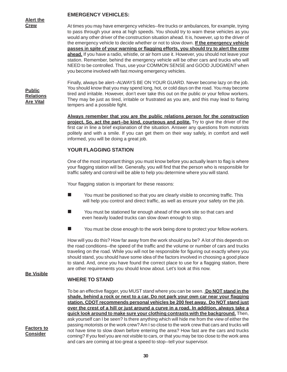#### **EMERGENCY VEHICLES:**

**Alert the Crew**

At times you may have emergency vehicles--fire trucks or ambulances, for example, trying to pass through your area at high speeds. You should try to warn these vehicles as you would any other driver of the construction situation ahead. It is, however, up to the driver of the emergency vehicle to decide whether or not to slow down. **If the emergency vehicle passes in spite of your warning or flagging efforts, you should try to alert the crew ahead.** If you have a radio, whistle, or air horn use it. However, you should not leave your station. Remember, behind the emergency vehicle will be other cars and trucks who will NEED to be controlled. Thus, use your COMMON SENSE and GOOD JUDGMENT when you become involved with fast moving emergency vehicles.

**Public Relations Are Vital**

Finally, always be alert--ALWAYS BE ON YOUR GUARD. Never become lazy on the job. You should know that you may spend long, hot, or cold days on the road. You may become tired and irritable. However, don't ever take this out on the public or your fellow workers. They may be just as tired, irritable or frustrated as you are, and this may lead to flaring tempers and a possible fight.

**Always remember that you are the public relations person for the construction project. So, act the part--be kind, courteous and polite.** Try to give the driver of the first car in line a brief explanation of the situation. Answer any questions from motorists politely and with a smile. If you can get them on their way safely, in comfort and well informed, you will be doing a great job.

#### **YOUR FLAGGING STATION**

One of the most important things you must know before you actually learn to flag is where your flagging station will be. Generally, you will find that the person who is responsible for traffic safety and control will be able to help you determine where you will stand.

Your flagging station is important for these reasons:

- You must be positioned so that you are clearly visible to oncoming traffic. This will help you control and direct traffic, as well as ensure your safety on the job.
- You must be stationed far enough ahead of the work site so that cars and even heavily loaded trucks can slow down enough to stop.
- $\blacksquare$  You must be close enough to the work being done to protect your fellow workers.

How will you do this? How far away from the work should you be? A lot of this depends on the road conditions--the speed of the traffic and the volume or number of cars and trucks traveling on the road. While you will not be responsible for figuring out exactly where you should stand, you should have some idea of the factors involved in choosing a good place to stand. And, once you have found the correct place to use for a flagging station, there are other requirements you should know about. Let's look at this now.

To be an effective flagger, you MUST stand where you can be seen. **Do NOT stand in the shade, behind a rock or next to a car. Do not park your own car near your flagging station. CDOT recommends personal vehicles be 200 feet away. Do NOT stand just over the crest of a hill or just around a curve in a road. In addition, always take a quick look around to make sure your clothing contrasts with the background.** Then, ask yourself can I be seen? Is there anything which will hide me from the view of either the passing motorists or the work crew? Am I so close to the work crew that cars and trucks will not have time to slow down before entering the area? How fast are the cars and trucks coming? If you feel you are not visible to cars, or that you may be too close to the work area

#### **Be Visible**

#### **WHERE TO STAND**

**Factors to Consider**

**30**

and cars are coming at too great a speed to stop--tell your supervisor.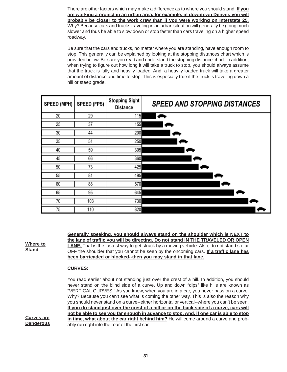There are other factors which may make a difference as to where you should stand. **If you are working a project in an urban area, for example, in downtown Denver, you will probably be closer to the work crew than if you were working on Interstate 25.** Why? Because cars and trucks traveling in an urban situation will generally be going much slower and thus be able to slow down or stop faster than cars traveling on a higher speed roadway.

Be sure that the cars and trucks, no matter where you are standing, have enough room to stop. This generally can be explained by looking at the stopping distances chart which is provided below. Be sure you read and understand the stopping distance chart. In addition, when trying to figure out how long it will take a truck to stop, you should always assume that the truck is fully and heavily loaded. And, a heavily loaded truck will take a greater amount of distance and time to stop. This is especially true if the truck is traveling down a hill or steep grade.

| SPEED (MPH) | <b>SPEED (FPS)</b> | <b>Stopping Sight</b><br><b>Distance</b> | <b>SPEED AND STOPPING DISTANCES</b> |
|-------------|--------------------|------------------------------------------|-------------------------------------|
| 20          | 29                 | 115                                      |                                     |
| 25          | 37                 | 155                                      |                                     |
| 30          | 44                 | 200                                      |                                     |
| 35          | 51                 | 250                                      |                                     |
| 40          | 59                 | 305                                      |                                     |
| 45          | 66                 | 360                                      |                                     |
| 50          | 73                 | 425                                      |                                     |
| 55          | 81                 | 495                                      |                                     |
| 60          | 88                 | 570                                      |                                     |
| 65          | 95                 | 645                                      |                                     |
| 70          | 103                | 730                                      |                                     |
| 75          | 110                | 820                                      |                                     |

**Generally speaking, you should always stand on the shoulder which is NEXT to the lane of traffic you will be directing. Do not stand IN THE TRAVELED OR OPEN LANE.** That is the fastest way to get struck by a moving vehicle. Also, do not stand so far OFF the shoulder that you cannot be seen by the oncoming cars. **If a traffic lane has been barricaded or blocked--then you may stand in that lane.**

#### **CURVES:**

**Curves are Dangerous**

**Where to Stand**

> You read earlier about not standing just over the crest of a hill. In addition, you should never stand on the blind side of a curve. Up and down "dips" like hills are known as "VERTICAL CURVES." As you know, when you are in a car, you never pass on a curve. Why? Because you can't see what is coming the other way. This is also the reason why you should never stand on a curve--either horizontal or vertical--where you can't be seen. **If you do stand just over the crest of a hill or on the back side of a curve, cars will not be able to see you far enough in advance to stop. And, if one car is able to stop in time, what about the car right behind him?** He will come around a curve and probably run right into the rear of the first car.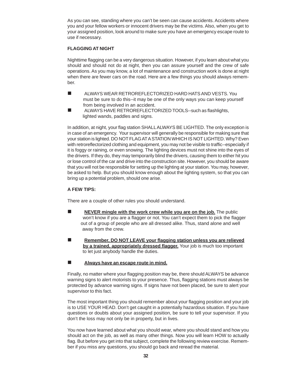As you can see, standing where you can't be seen can cause accidents. Accidents where you and your fellow workers or innocent drivers may be the victims. Also, when you get to your assigned position, look around to make sure you have an emergency escape route to use if necessary.

#### **FLAGGING AT NIGHT**

Nighttime flagging can be a very dangerous situation. However, if you learn about what you should and should not do at night, then you can assure yourself and the crew of safe operations. As you may know, a lot of maintenance and construction work is done at night when there are fewer cars on the road. Here are a few things you should always remember.

- ALWAYS WEAR RETROREFLECTORIZED HARD HATS AND VESTS. You must be sure to do this--it may be one of the only ways you can keep yourself from being involved in an accident.
- **E** ALWAYS HAVE RETROREFLECTORIZED TOOLS--such as flashlights, lighted wands, paddles and signs.

In addition, at night, your flag station SHALL ALWAYS BE LIGHTED. The only exception is in case of an emergency. Your supervisor will generally be responsible for making sure that your station is lighted. DO NOT FLAG AT A STATION WHICH IS NOT LIGHTED. Why? Even with retroreflectorized clothing and equipment, you may not be visible to traffic--especially if it is foggy or raining, or even snowing. The lighting devices must not shine into the eyes of the drivers. If they do, they may temporarily blind the drivers, causing them to either hit you or lose control of the car and drive into the construction site. However, you should be aware that you will not be responsible for setting up the lighting at your station. You may, however, be asked to help. But you should know enough about the lighting system, so that you can bring up a potential problem, should one arise.

#### **A FEW TIPS:**

There are a couple of other rules you should understand.

- **NEVER mingle with the work crew while you are on the job.** The public won't know if you are a flagger or not. You can't expect them to pick the flagger out of a group of people who are all dressed alike. Thus, stand alone and well away from the crew.
- **Remember, DO NOT LEAVE your flagging station unless you are relieved by a trained, appropriately dressed flagger.** Your job is much too important to let just anybody handle the duties.

#### **Always have an escape route in mind.**

Finally, no matter where your flagging position may be, there should ALWAYS be advance warning signs to alert motorists to your presence. Thus, flagging stations must always be protected by advance warning signs. If signs have not been placed, be sure to alert your supervisor to this fact.

The most important thing you should remember about your flagging position and your job is to USE YOUR HEAD. Don't get caught in a potentially hazardous situation. If you have questions or doubts about your assigned position, be sure to tell your supervisor. If you don't the loss may not only be in property, but in lives.

You now have learned about what you should wear, where you should stand and how you should act on the job, as well as many other things. Now you will learn HOW to actually flag. But before you get into that subject, complete the following review exercise. Remember if you miss any questions, you should go back and reread the material.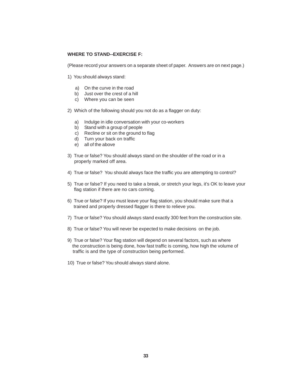#### **WHERE TO STAND--EXERCISE F:**

(Please record your answers on a separate sheet of paper. Answers are on next page.)

- 1) You should always stand:
	- a) On the curve in the road
	- b) Just over the crest of a hill
	- c) Where you can be seen
- 2) Which of the following should you not do as a flagger on duty:
	- a) Indulge in idle conversation with your co-workers
	- b) Stand with a group of people
	- c) Recline or sit on the ground to flag
	- d) Turn your back on traffic
	- e) all of the above
- 3) True or false? You should always stand on the shoulder of the road or in a properly marked off area.
- 4) True or false? You should always face the traffic you are attempting to control?
- 5) True or false? If you need to take a break, or stretch your legs, it's OK to leave your flag station if there are no cars coming.
- 6) True or false? If you must leave your flag station, you should make sure that a trained and properly dressed flagger is there to relieve you.
- 7) True or false? You should always stand exactly 300 feet from the construction site.
- 8) True or false? You will never be expected to make decisions on the job.
- 9) True or false? Your flag station will depend on several factors, such as where the construction is being done, how fast traffic is coming, how high the volume of traffic is and the type of construction being performed.
- 10) True or false? You should always stand alone.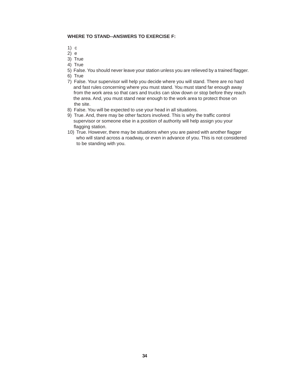#### **WHERE TO STAND--ANSWERS TO EXERCISE F:**

- 1) c
- $2)$  e
- 3) True
- 4) True
- 5) False. You should never leave your station unless you are relieved by a trained flagger.
- 6) True
- 7) False. Your supervisor will help you decide where you will stand. There are no hard and fast rules concerning where you must stand. You must stand far enough away from the work area so that cars and trucks can slow down or stop before they reach the area. And, you must stand near enough to the work area to protect those on the site.
- 8) False. You will be expected to use your head in all situations.
- 9) True. And, there may be other factors involved. This is why the traffic control supervisor or someone else in a position of authority will help assign you your flagging station.
- 10) True. However, there may be situations when you are paired with another flagger who will stand across a roadway, or even in advance of you. This is not considered to be standing with you.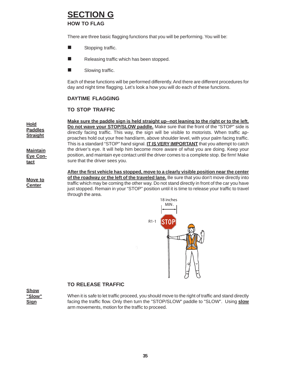# **SECTION G**

**HOW TO FLAG**

There are three basic flagging functions that you will be performing. You will be:

- **Stopping traffic.**
- $\blacksquare$  Releasing traffic which has been stopped.
- Slowing traffic.

Each of these functions will be performed differently. And there are different procedures for day and night time flagging. Let's look a how you will do each of these functions.

#### **DAYTIME FLAGGING**

#### **TO STOP TRAFFIC**

**Maintain Eye Contact Hold Paddles Straight Make sure the paddle sign is held straight up--not leaning to the right or to the left. Do not wave your STOP/SLOW paddle.** Make sure that the front of the "STOP" side is directly facing traffic. This way, the sign will be visible to motorists. When traffic approaches hold out your free hand/arm, above shoulder level, with your palm facing traffic. This is a standard "STOP" hand signal. **IT IS VERY IMPORTANT** that you attempt to catch the driver's eye. It will help him become more aware of what you are doing. Keep your position, and maintain eye contact until the driver comes to a complete stop. Be firm! Make sure that the driver sees you.

**Move to Center After the first vehicle has stopped, move to a clearly visible position near the center of the roadway or the left of the traveled lane.** Be sure that you don't move directly into traffic which may be coming the other way. Do not stand directly in front of the car you have just stopped. Remain in your "STOP" position until it is time to release your traffic to travel through the area.



#### **TO RELEASE TRAFFIC**

**Show "Slow" Sign**

When it is safe to let traffic proceed, you should move to the right of traffic and stand directly facing the traffic flow. Only then turn the "STOP/SLOW" paddle to "SLOW". Using **slow** arm movements, motion for the traffic to proceed.

**35**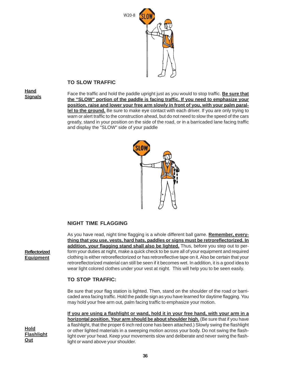

#### **TO SLOW TRAFFIC**

**Hand Signals**

Face the traffic and hold the paddle upright just as you would to stop traffic. **Be sure that the "SLOW" portion of the paddle is facing traffic. If you need to emphasize your position, raise and lower your free arm slowly in front of you, with your palm parallel to the ground.** Be sure to make eye contact with each driver. If you are only trying to warn or alert traffic to the construction ahead, but do not need to slow the speed of the cars greatly, stand in your position on the side of the road, or in a barricaded lane facing traffic and display the "SLOW" side of your paddle



#### **NIGHT TIME FLAGGING**

As you have read, night time flagging is a whole different ball game. **Remember, everything that you use, vests, hard hats, paddles or signs must be retroreflectorized. In addition, your flagging stand shall also be lighted.** Thus, before you step out to perform your duties at night, make a quick check to be sure all of your equipment and required clothing is either retroreflectorized or has retroreflective tape on it. Also be certain that your retroreflectorized material can still be seen if it becomes wet. In addition, it is a good idea to wear light colored clothes under your vest at night. This will help you to be seen easily.

#### **TO STOP TRAFFIC:**

Be sure that your flag station is lighted. Then, stand on the shoulder of the road or barricaded area facing traffic. Hold the paddle sign as you have learned for daytime flagging. You may hold your free arm out, palm facing traffic to emphasize your motion.

**If you are using a flashlight or wand, hold it in your free hand, with your arm in a horizontal position. Your arm should be about shoulder high.** (Be sure that if you have a flashlight, that the proper 6 inch red cone has been attached.) Slowly swing the flashlight or other lighted materials in a sweeping motion across your body. Do not swing the flashlight over your head. Keep your movements slow and deliberate and never swing the flashlight or wand above your shoulder.

**Reflectorized Equipment**

**Hold Flashlight Out**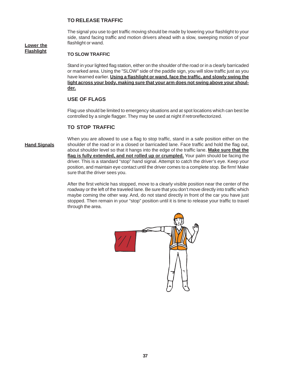#### **TO RELEASE TRAFFIC**

The signal you use to get traffic moving should be made by lowering your flashlight to your side, stand facing traffic and motion drivers ahead with a slow, sweeping motion of your flashlight or wand.

#### **Lower the Flashlight**

#### **TO SLOW TRAFFIC**

Stand in your lighted flag station, either on the shoulder of the road or in a clearly barricaded or marked area. Using the "SLOW" side of the paddle sign, you will slow traffic just as you have learned earlier. **Using a flashlight or wand, face the traffic, and slowly swing the light across your body, making sure that your arm does not swing above your shoulder.**

#### **USE OF FLAGS**

Flag use should be limited to emergency situations and at spot locations which can best be controlled by a single flagger. They may be used at night if retroreflectorized.

#### **TO STOP TRAFFIC**

#### **Hand Signals**

When you are allowed to use a flag to stop traffic, stand in a safe position either on the shoulder of the road or in a closed or barricaded lane. Face traffic and hold the flag out, about shoulder level so that it hangs into the edge of the traffic lane. **Make sure that the flag is fully extended, and not rolled up or crumpled.** Your palm should be facing the driver. This is a standard "stop" hand signal. Attempt to catch the driver's eye. Keep your position, and maintain eye contact until the driver comes to a complete stop. Be firm! Make sure that the driver sees you.

After the first vehicle has stopped, move to a clearly visible position near the center of the roadway or the left of the traveled lane. Be sure that you don't move directly into traffic which maybe coming the other way. And, do not stand directly in front of the car you have just stopped. Then remain in your "stop" position until it is time to release your traffic to travel through the area.

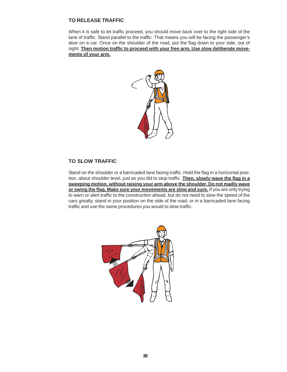#### **TO RELEASE TRAFFIC**

When it is safe to let traffic proceed, you should move back over to the right side of the lane of traffic. Stand parallel to the traffic. That means you will be facing the passenger's door on a car. Once on the shoulder of the road, put the flag down to your side, out of sight. **Then motion traffic to proceed with your free arm. Use slow deliberate movements of your arm.**



#### **TO SLOW TRAFFIC**

Stand on the shoulder or a barricaded lane facing traffic. Hold the flag in a horizontal position, about shoulder level, just as you did to stop traffic. **Then, slowly wave the flag in a sweeping motion, without raising your arm above the shoulder. Do not madly wave or swing the flag. Make sure your movements are slow and sure.** If you are only trying to warn or alert traffic to the construction ahead, but do not need to slow the speed of the cars greatly, stand in your position on the side of the road, or in a barricaded lane facing traffic and use the same procedures you would to slow traffic.

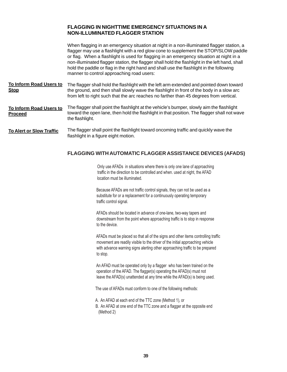#### **FLAGGING IN NIGHTTIME EMERGENCY SITUATIONS IN A NON-ILLUMINATED FLAGGER STATION**

When flagging in an emergency situation at night in a non-illuminated flagger station, a flagger may use a flashlight with a red glow cone to supplement the STOP/SLOW paddle or flag. When a flashlight is used for flagging in an emergency situation at night in a non-illuminated flagger station, the flagger shall hold the flashlight in the left hand, shall hold the paddle or flag in the right hand and shall use the flashlight in the following manner to control approaching road users:

- The flagger shall hold the flashlight with the left arm extended and pointed down toward the ground, and then shall slowly wave the flashlight in front of the body in a slow arc from left to right such that the arc reaches no farther than 45 degrees from vertical. **To Inform Road Users to Stop**
- The flagger shall point the flashlight at the vehicle's bumper, slowly aim the flashlight toward the open lane, then hold the flashlight in that position. The flagger shall not wave the flashlight. **To Inform Road Users to Proceed**
- The flagger shall point the flashlight toward oncoming traffic and quickly wave the flashlight in a figure eight motion. **To Alert or Slow Traffic**

#### **FLAGGING WITH AUTOMATIC FLAGGER ASSISTANCE DEVICES (AFADS)**

Only use AFADs in situations where there is only one lane of approaching traffic in the direction to be controlled and when. used at night, the AFAD location must be illuminated.

Because AFADs are not traffic control signals, they can not be used as a substitute for or a replacement for a continuously operating temporary traffic control signal.

AFADs should be located in advance of one-lane, two-way tapers and downstream from the point where approaching traffic is to stop in response to the device.

AFADs must be placed so that all of the signs and other items controlling traffic movement are readily visible to the driver of the initial approaching vehicle with advance warning signs alerting other approaching traffic to be prepared to stop.

An AFAD must be operated only by a flagger who has been trained on the operation of the AFAD. The flagger(s) operating the AFAD(s) must not leave the AFAD(s) unattended at any time while the AFAD(s) is being used.

The use of AFADs must conform to one of the following methods:

- A. An AFAD at each end of the TTC zone (Method 1), or
- B. An AFAD at one end of the TTC zone and a flagger at the opposite end  $(Method 2)$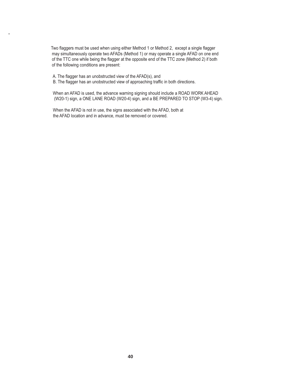Two flaggers must be used when using either Method 1 or Method 2, except a single flagger may simultaneously operate two AFADs (Method 1) or may operate a single AFAD on one end of the TTC one while being the flagger at the opposite end of the TTC zone (Method 2) if both of the following conditions are present:

A. The flagger has an unobstructed view of the AFAD(s), and

**.**

B. The flagger has an unobstructed view of approaching traffic in both directions.

When an AFAD is used, the advance warning signing should include a ROAD WORK AHEAD (W20-1) sign, a ONE LANE ROAD (W20-4) sign, and a BE PREPARED TO STOP (W3-4) sign.

When the AFAD is not in use, the signs associated with the AFAD, both at the AFAD location and in advance, must be removed or covered.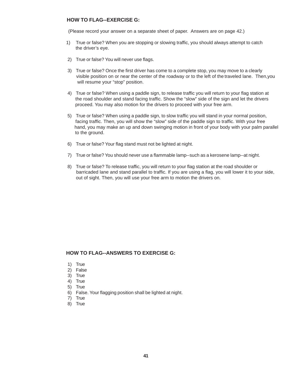#### **HOW TO FLAG--EXERCISE G:**

(Please record your answer on a separate sheet of paper. Answers are on page 42.)

- 1) True or false? When you are stopping or slowing traffic, you should always attempt to catch the driver's eye.
- 2) True or false? You will never use flags.
- 3) True or false? Once the first driver has come to a complete stop, you may move to a clearly visible position on or near the center of the roadway or to the left of the traveled lane. Then,you will resume your "stop" position.
- 4) True or false? When using a paddle sign, to release traffic you will return to your flag station at the road shoulder and stand facing traffic. Show the "slow" side of the sign and let the drivers proceed. You may also motion for the drivers to proceed with your free arm.
- 5) True or false? When using a paddle sign, to slow traffic you will stand in your normal position, facing traffic. Then, you will show the "slow" side of the paddle sign to traffic. With your free hand, you may make an up and down swinging motion in front of your body with your palm parallel to the ground.
- 6) True or false? Your flag stand must not be lighted at night.
- 7) True or false? You should never use a flammable lamp--such as a kerosene lamp--at night.
- 8) True or false? To release traffic, you will return to your flag station at the road shoulder or barricaded lane and stand parallel to traffic. If you are using a flag, you will lower it to your side, out of sight. Then, you will use your free arm to motion the drivers on.

#### **HOW TO FLAG--ANSWERS TO EXERCISE G:**

- 1) True
- 2) False
- 3) True
- 4) True
- 5) True
- 6) False. Your flagging position shall be lighted at night.
- 7) True
- 8) True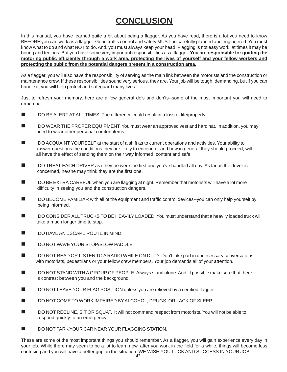# **CONCLUSION**

In this manual, you have learned quite a bit about being a flagger. As you have read, there is a lot you need to know BEFORE you can work as a flagger. Good traffic control and safety MUST be carefully planned and engineered. You must know what to do and what NOT to do. And, you must always keep your head. Flagging is not easy work, at times it may be boring and tedious. But you have some very important responsibilities as a flagger. **You are responsible for guiding the motoring public efficiently through a work area, protecting the lives of yourself and your fellow workers and protecting the public from the potential dangers present in a construction area.**

As a flagger, you will also have the responsibility of serving as the main link between the motorists and the construction or maintenance crew. If these responsibilities sound very serious, they are. Your job will be tough, demanding, but if you can handle it, you will help protect and safeguard many lives.

Just to refresh your memory, here are a few general do's and don'ts--some of the most important you will need to remember.

- DO BE ALERT AT ALL TIMES. The difference could result in a loss of life/property.
- DO WEAR THE PROPER EQUIPMENT. You must wear an approved vest and hard hat. In addition, you may need to wear other personal comfort items.
- DO ACQUAINT YOURSELF at the start of a shift as to current operations and activities. Your ability to answer questions the conditions they are likely to encounter and how in general they should proceed, will all have the effect of sending them on their way informed, content and safe.
- DO TREAT EACH DRIVER as if he/she were the first one you've handled all day. As far as the driver is concerned, he/she may think they are the first one.
- DO BE EXTRA CAREFUL when you are flagging at night. Remember that motorists will have a lot more difficulty in seeing you and the construction dangers.
- DO BECOME FAMILIAR with all of the equipment and traffic control devices--you can only help yourself by being informed.
- DO CONSIDER ALL TRUCKS TO BE HEAVILY LOADED. You must understand that a heavily loaded truck will take a much longer time to stop.
- DO HAVE AN ESCAPE ROUTE IN MIND.
- DO NOT WAVE YOUR STOP/SLOW PADDLE.
- DO NOT READ OR LISTEN TO A RADIO WHILE ON DUTY. Don't take part in unnecessary conversations with motorists, pedestrians or your fellow crew members. Your job demands all of your attention.
- DO NOT STAND WITH A GROUP OF PEOPLE. Always stand alone. And, if possible make sure that there is contrast between you and the background.
- DO NOT LEAVE YOUR FLAG POSITION unless you are relieved by a certified flagger.
- DO NOT COME TO WORK IMPAIRED BY ALCOHOL, DRUGS, OR LACK OF SLEEP.
- DO NOT RECLINE, SIT OR SQUAT. It will not command respect from motorists. You will not be able to respond quickly to an emergency.
- DO NOT PARK YOUR CAR NEAR YOUR FLAGGING STATION.

These are some of the most important things you should remember. As a flagger, you will gain experience every day in your job. While there may seem to be a lot to learn now, after you work in the field for a while, things will become less confusing and you will have a better grip on the situation. WE WISH YOU LUCK AND SUCCESS IN YOUR JOB. **42**